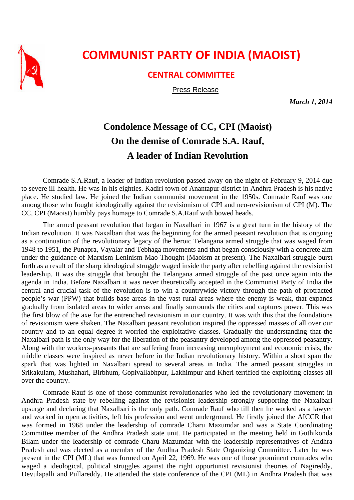

## **COMMUNIST PARTY OF INDIA (MAOIST)**

## **CENTRAL COMMITTEE**

Press Release

*March 1, 2014* 

## **Condolence Message of CC, CPI (Maoist) On the demise of Comrade S.A. Rauf, A leader of Indian Revolution**

Comrade S.A.Rauf, a leader of Indian revolution passed away on the night of February 9, 2014 due to severe ill-health. He was in his eighties. Kadiri town of Anantapur district in Andhra Pradesh is his native place. He studied law. He joined the Indian communist movement in the 1950s. Comrade Rauf was one among those who fought ideologically against the revisionism of CPI and neo-revisionism of CPI (M). The CC, CPI (Maoist) humbly pays homage to Comrade S.A.Rauf with bowed heads.

The armed peasant revolution that began in Naxalbari in 1967 is a great turn in the history of the Indian revolution. It was Naxalbari that was the beginning for the armed peasant revolution that is ongoing as a continuation of the revolutionary legacy of the heroic Telangana armed struggle that was waged from 1948 to 1951, the Punapra, Vayalar and Tebhaga movements and that began consciously with a concrete aim under the guidance of Marxism-Leninism-Mao Thought (Maoism at present). The Naxalbari struggle burst forth as a result of the sharp ideological struggle waged inside the party after rebelling against the revisionist leadership. It was the struggle that brought the Telangana armed struggle of the past once again into the agenda in India. Before Naxalbari it was never theoretically accepted in the Communist Party of India the central and crucial task of the revolution is to win a countrywide victory through the path of protracted people's war (PPW) that builds base areas in the vast rural areas where the enemy is weak, that expands gradually from isolated areas to wider areas and finally surrounds the cities and captures power. This was the first blow of the axe for the entrenched revisionism in our country. It was with this that the foundations of revisionism were shaken. The Naxalbari peasant revolution inspired the oppressed masses of all over our country and to an equal degree it worried the exploitative classes. Gradually the understanding that the Naxalbari path is the only way for the liberation of the peasantry developed among the oppressed peasantry. Along with the workers-peasants that are suffering from increasing unemployment and economic crisis, the middle classes were inspired as never before in the Indian revolutionary history. Within a short span the spark that was lighted in Naxalbari spread to several areas in India. The armed peasant struggles in Srikakulam, Mushahari, Birbhum, Gopivallabhpur, Lakhimpur and Kheri terrified the exploiting classes all over the country.

Comrade Rauf is one of those communist revolutionaries who led the revolutionary movement in Andhra Pradesh state by rebelling against the revisionist leadership strongly supporting the Naxalbari upsurge and declaring that Naxalbari is the only path. Comrade Rauf who till then he worked as a lawyer and worked in open activities, left his profession and went underground. He firstly joined the AICCR that was formed in 1968 under the leadership of comrade Charu Mazumdar and was a State Coordinating Committee member of the Andhra Pradesh state unit. He participated in the meeting held in Guthikonda Bilam under the leadership of comrade Charu Mazumdar with the leadership representatives of Andhra Pradesh and was elected as a member of the Andhra Pradesh State Organizing Committee. Later he was present in the CPI (ML) that was formed on April 22, 1969. He was one of those prominent comrades who waged a ideological, political struggles against the right opportunist revisionist theories of Nagireddy, Devulapalli and Pullareddy. He attended the state conference of the CPI (ML) in Andhra Pradesh that was